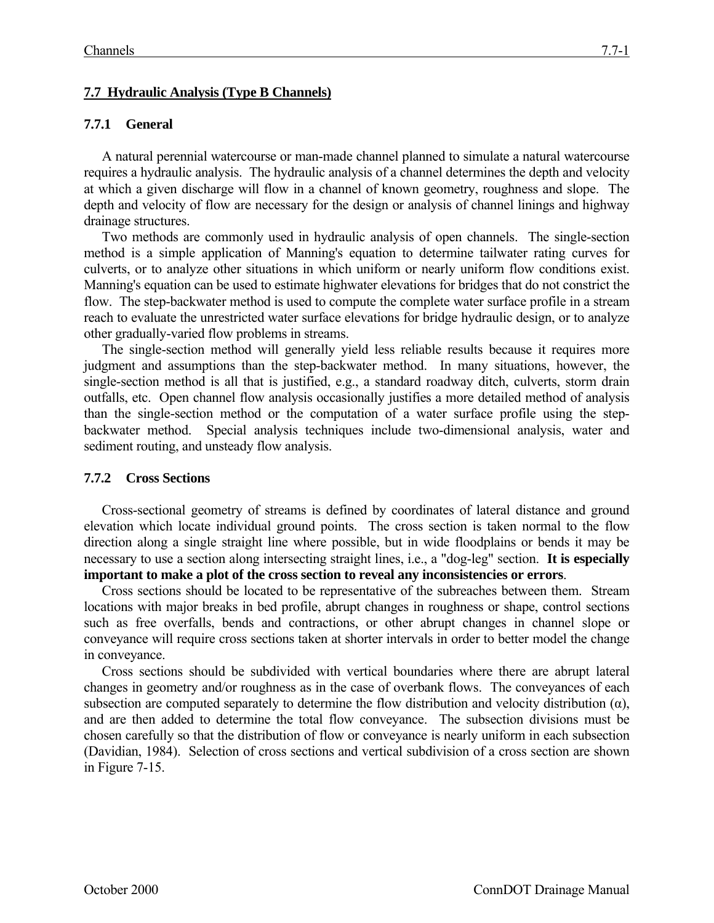## **7.7 Hydraulic Analysis (Type B Channels)**

## **7.7.1 General**

A natural perennial watercourse or man-made channel planned to simulate a natural watercourse requires a hydraulic analysis. The hydraulic analysis of a channel determines the depth and velocity at which a given discharge will flow in a channel of known geometry, roughness and slope. The depth and velocity of flow are necessary for the design or analysis of channel linings and highway drainage structures.

Two methods are commonly used in hydraulic analysis of open channels. The single-section method is a simple application of Manning's equation to determine tailwater rating curves for culverts, or to analyze other situations in which uniform or nearly uniform flow conditions exist. Manning's equation can be used to estimate highwater elevations for bridges that do not constrict the flow. The step-backwater method is used to compute the complete water surface profile in a stream reach to evaluate the unrestricted water surface elevations for bridge hydraulic design, or to analyze other gradually-varied flow problems in streams.

The single-section method will generally yield less reliable results because it requires more judgment and assumptions than the step-backwater method. In many situations, however, the single-section method is all that is justified, e.g., a standard roadway ditch, culverts, storm drain outfalls, etc. Open channel flow analysis occasionally justifies a more detailed method of analysis than the single-section method or the computation of a water surface profile using the stepbackwater method. Special analysis techniques include two-dimensional analysis, water and sediment routing, and unsteady flow analysis.

### **7.7.2 Cross Sections**

Cross-sectional geometry of streams is defined by coordinates of lateral distance and ground elevation which locate individual ground points. The cross section is taken normal to the flow direction along a single straight line where possible, but in wide floodplains or bends it may be necessary to use a section along intersecting straight lines, i.e., a "dog-leg" section. **It is especially important to make a plot of the cross section to reveal any inconsistencies or errors**.

Cross sections should be located to be representative of the subreaches between them. Stream locations with major breaks in bed profile, abrupt changes in roughness or shape, control sections such as free overfalls, bends and contractions, or other abrupt changes in channel slope or conveyance will require cross sections taken at shorter intervals in order to better model the change in conveyance.

Cross sections should be subdivided with vertical boundaries where there are abrupt lateral changes in geometry and/or roughness as in the case of overbank flows. The conveyances of each subsection are computed separately to determine the flow distribution and velocity distribution  $(\alpha)$ , and are then added to determine the total flow conveyance. The subsection divisions must be chosen carefully so that the distribution of flow or conveyance is nearly uniform in each subsection (Davidian, 1984). Selection of cross sections and vertical subdivision of a cross section are shown in Figure 7-15.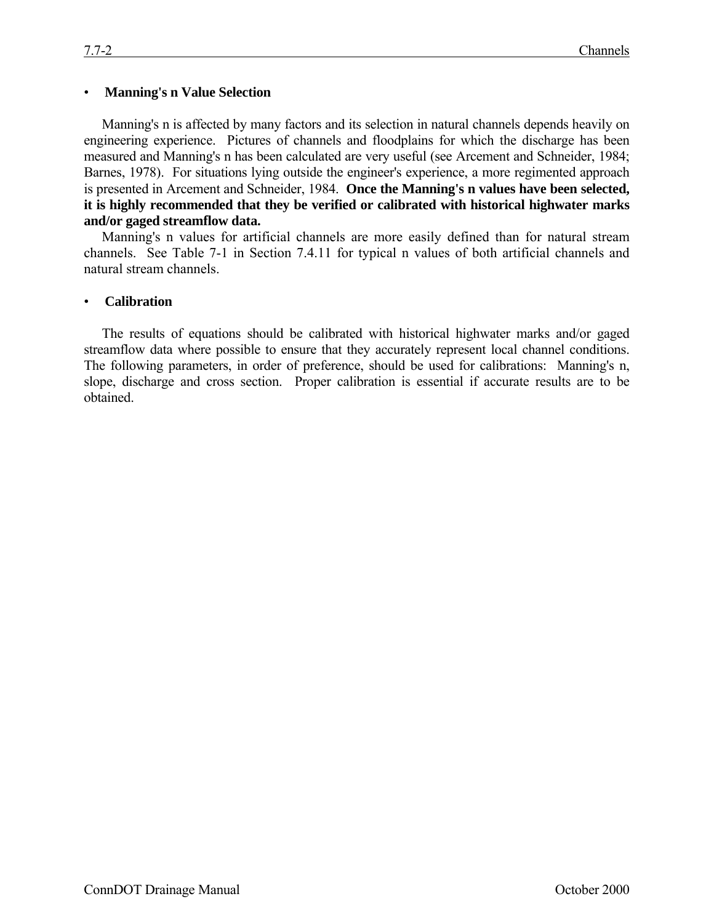## • **Manning's n Value Selection**

Manning's n is affected by many factors and its selection in natural channels depends heavily on engineering experience. Pictures of channels and floodplains for which the discharge has been measured and Manning's n has been calculated are very useful (see Arcement and Schneider, 1984; Barnes, 1978). For situations lying outside the engineer's experience, a more regimented approach is presented in Arcement and Schneider, 1984. **Once the Manning's n values have been selected, it is highly recommended that they be verified or calibrated with historical highwater marks and/or gaged streamflow data.**

Manning's n values for artificial channels are more easily defined than for natural stream channels. See Table 7-1 in Section 7.4.11 for typical n values of both artificial channels and natural stream channels.

### • **Calibration**

The results of equations should be calibrated with historical highwater marks and/or gaged streamflow data where possible to ensure that they accurately represent local channel conditions. The following parameters, in order of preference, should be used for calibrations: Manning's n, slope, discharge and cross section. Proper calibration is essential if accurate results are to be obtained.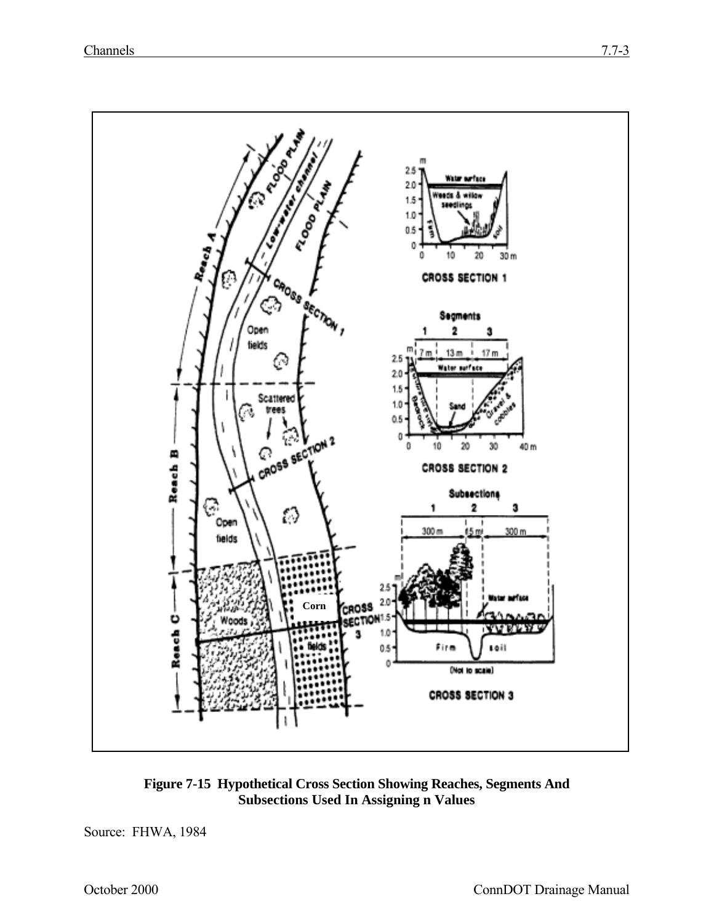

**Figure 7-15 Hypothetical Cross Section Showing Reaches, Segments And Subsections Used In Assigning n Values**

Source: FHWA, 1984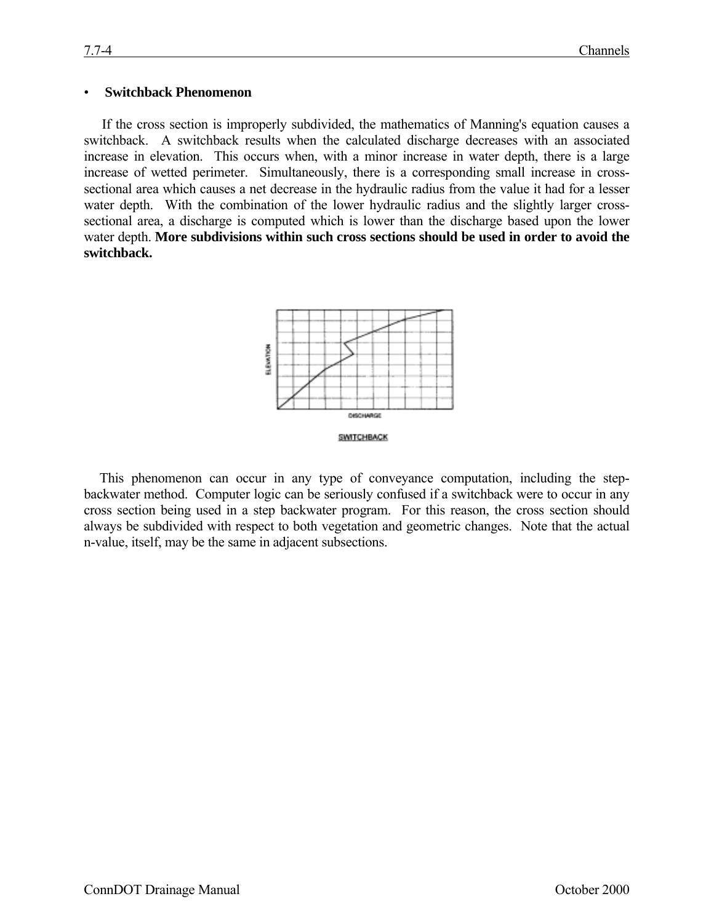## • **Switchback Phenomenon**

If the cross section is improperly subdivided, the mathematics of Manning's equation causes a switchback. A switchback results when the calculated discharge decreases with an associated increase in elevation. This occurs when, with a minor increase in water depth, there is a large increase of wetted perimeter. Simultaneously, there is a corresponding small increase in crosssectional area which causes a net decrease in the hydraulic radius from the value it had for a lesser water depth. With the combination of the lower hydraulic radius and the slightly larger crosssectional area, a discharge is computed which is lower than the discharge based upon the lower water depth. **More subdivisions within such cross sections should be used in order to avoid the switchback.**



This phenomenon can occur in any type of conveyance computation, including the stepbackwater method. Computer logic can be seriously confused if a switchback were to occur in any cross section being used in a step backwater program. For this reason, the cross section should always be subdivided with respect to both vegetation and geometric changes. Note that the actual n-value, itself, may be the same in adjacent subsections.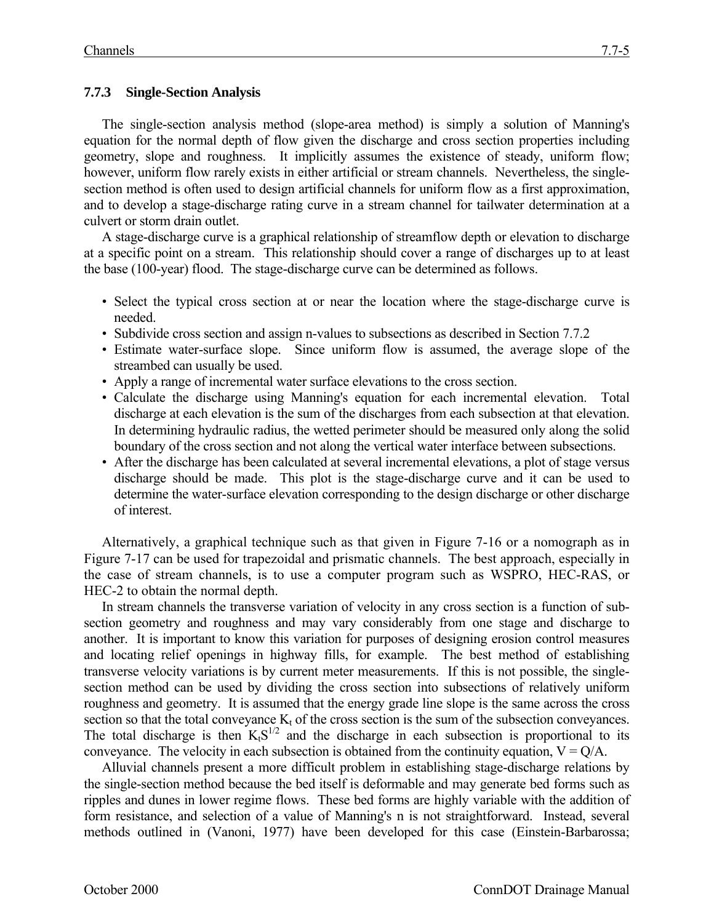# **7.7.3 Single-Section Analysis**

The single-section analysis method (slope-area method) is simply a solution of Manning's equation for the normal depth of flow given the discharge and cross section properties including geometry, slope and roughness. It implicitly assumes the existence of steady, uniform flow; however, uniform flow rarely exists in either artificial or stream channels. Nevertheless, the singlesection method is often used to design artificial channels for uniform flow as a first approximation, and to develop a stage-discharge rating curve in a stream channel for tailwater determination at a culvert or storm drain outlet.

A stage-discharge curve is a graphical relationship of streamflow depth or elevation to discharge at a specific point on a stream. This relationship should cover a range of discharges up to at least the base (100-year) flood. The stage-discharge curve can be determined as follows.

- Select the typical cross section at or near the location where the stage-discharge curve is needed.
- Subdivide cross section and assign n-values to subsections as described in Section 7.7.2
- Estimate water-surface slope. Since uniform flow is assumed, the average slope of the streambed can usually be used.
- Apply a range of incremental water surface elevations to the cross section.
- Calculate the discharge using Manning's equation for each incremental elevation. Total discharge at each elevation is the sum of the discharges from each subsection at that elevation. In determining hydraulic radius, the wetted perimeter should be measured only along the solid boundary of the cross section and not along the vertical water interface between subsections.
- After the discharge has been calculated at several incremental elevations, a plot of stage versus discharge should be made. This plot is the stage-discharge curve and it can be used to determine the water-surface elevation corresponding to the design discharge or other discharge of interest.

Alternatively, a graphical technique such as that given in Figure 7-16 or a nomograph as in Figure 7-17 can be used for trapezoidal and prismatic channels. The best approach, especially in the case of stream channels, is to use a computer program such as WSPRO, HEC-RAS, or HEC-2 to obtain the normal depth.

In stream channels the transverse variation of velocity in any cross section is a function of subsection geometry and roughness and may vary considerably from one stage and discharge to another. It is important to know this variation for purposes of designing erosion control measures and locating relief openings in highway fills, for example. The best method of establishing transverse velocity variations is by current meter measurements. If this is not possible, the singlesection method can be used by dividing the cross section into subsections of relatively uniform roughness and geometry. It is assumed that the energy grade line slope is the same across the cross section so that the total conveyance  $K_t$  of the cross section is the sum of the subsection conveyances. The total discharge is then  $K_tS^{1/2}$  and the discharge in each subsection is proportional to its conveyance. The velocity in each subsection is obtained from the continuity equation,  $V = Q/A$ .

Alluvial channels present a more difficult problem in establishing stage-discharge relations by the single-section method because the bed itself is deformable and may generate bed forms such as ripples and dunes in lower regime flows. These bed forms are highly variable with the addition of form resistance, and selection of a value of Manning's n is not straightforward. Instead, several methods outlined in (Vanoni, 1977) have been developed for this case (Einstein-Barbarossa;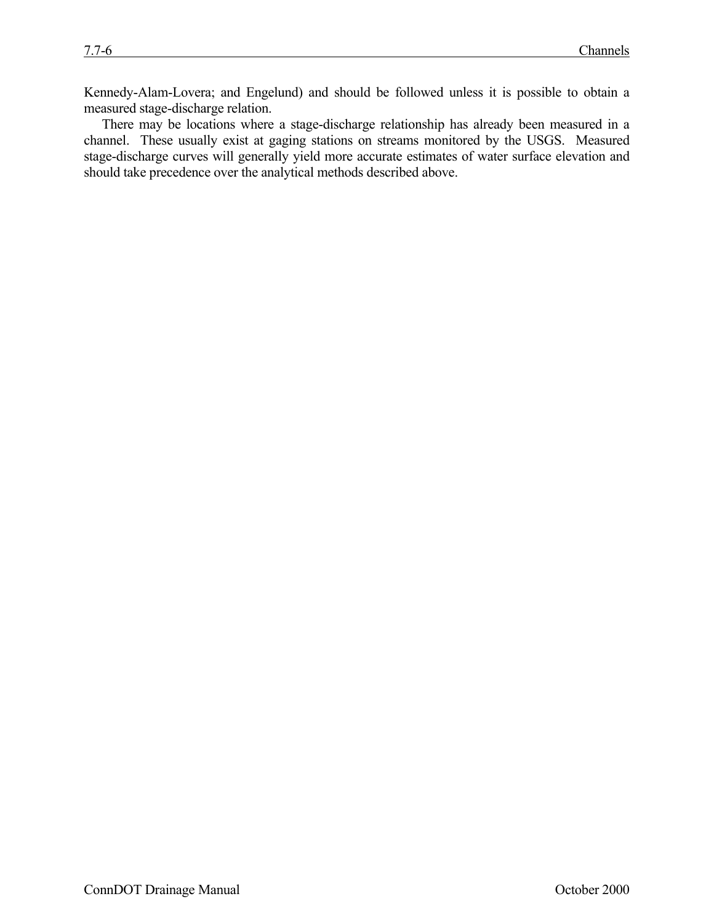Kennedy-Alam-Lovera; and Engelund) and should be followed unless it is possible to obtain a measured stage-discharge relation.

There may be locations where a stage-discharge relationship has already been measured in a channel. These usually exist at gaging stations on streams monitored by the USGS. Measured stage-discharge curves will generally yield more accurate estimates of water surface elevation and should take precedence over the analytical methods described above.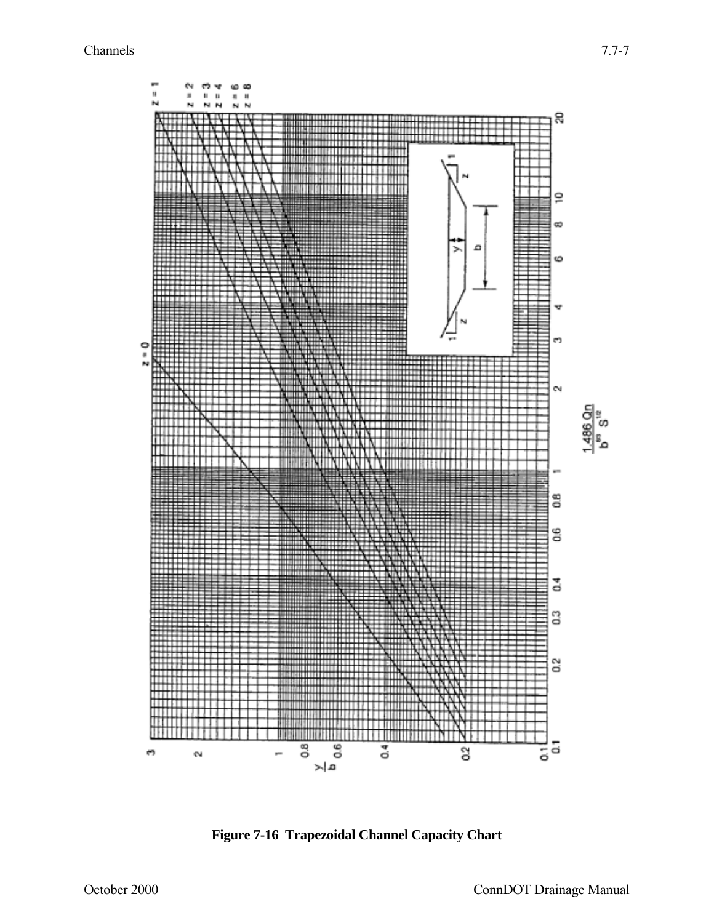

**Figure 7-16 Trapezoidal Channel Capacity Chart**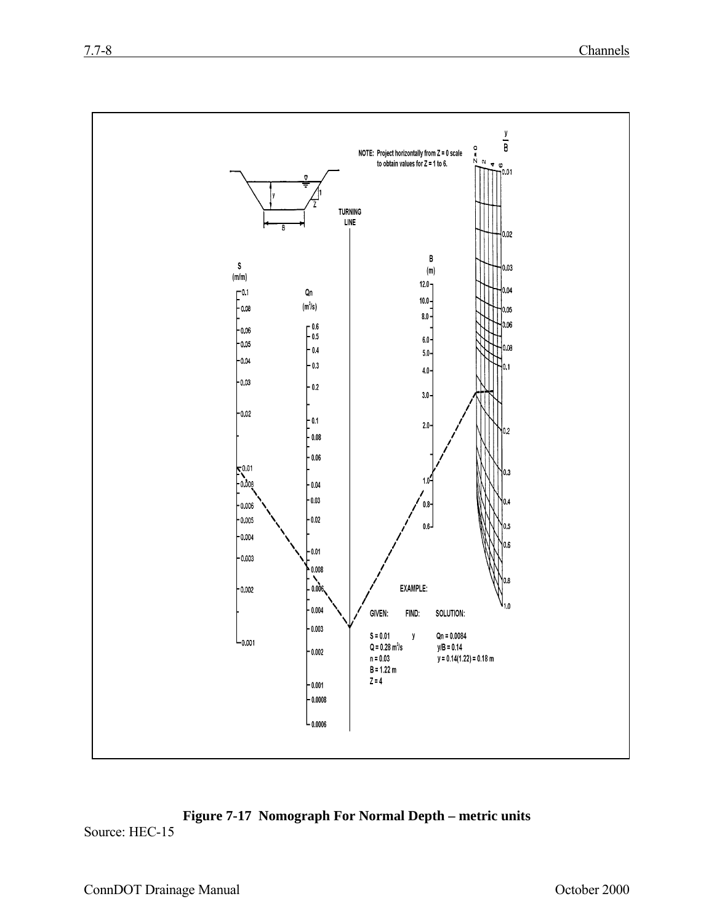

# **Figure 7-17 Nomograph For Normal Depth – metric units**

Source: HEC-15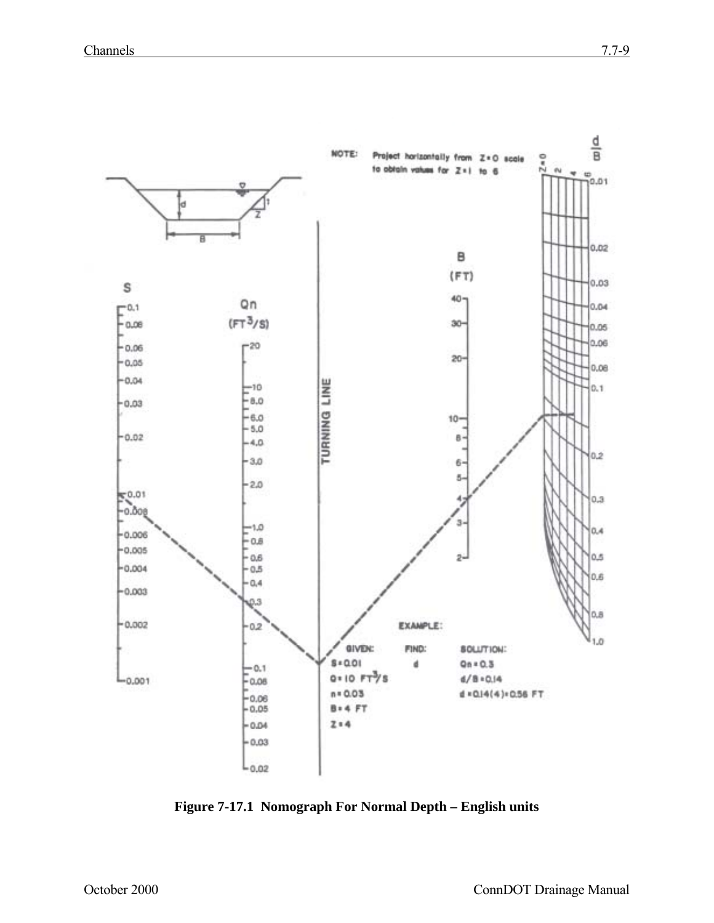

**Figure 7-17.1 Nomograph For Normal Depth – English units**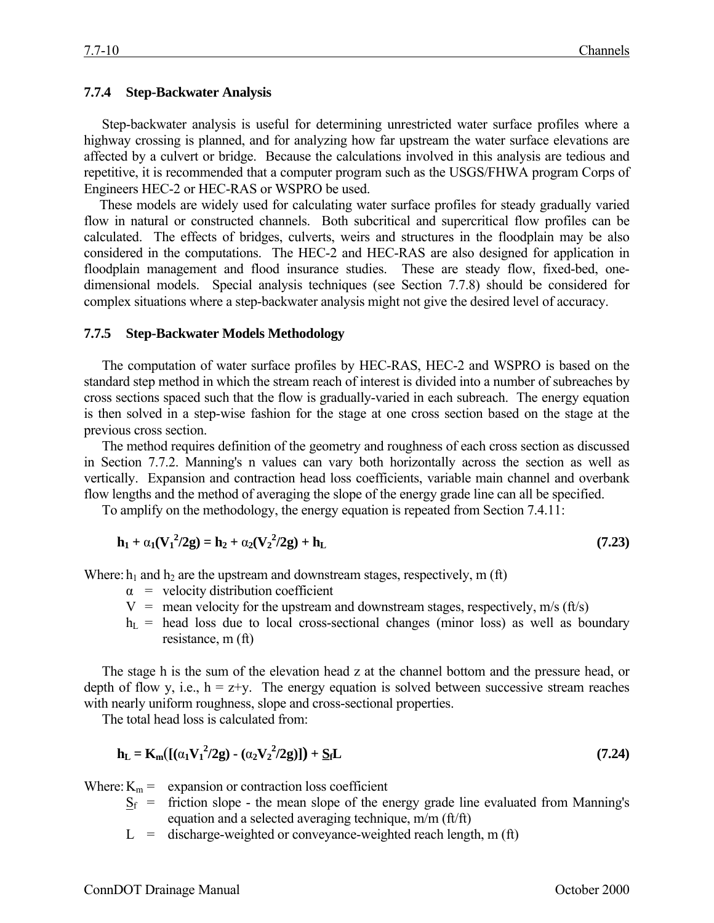#### **7.7.4 Step-Backwater Analysis**

Step-backwater analysis is useful for determining unrestricted water surface profiles where a highway crossing is planned, and for analyzing how far upstream the water surface elevations are affected by a culvert or bridge. Because the calculations involved in this analysis are tedious and repetitive, it is recommended that a computer program such as the USGS/FHWA program Corps of Engineers HEC-2 or HEC-RAS or WSPRO be used.

These models are widely used for calculating water surface profiles for steady gradually varied flow in natural or constructed channels. Both subcritical and supercritical flow profiles can be calculated. The effects of bridges, culverts, weirs and structures in the floodplain may be also considered in the computations. The HEC-2 and HEC-RAS are also designed for application in floodplain management and flood insurance studies. These are steady flow, fixed-bed, onedimensional models. Special analysis techniques (see Section 7.7.8) should be considered for complex situations where a step-backwater analysis might not give the desired level of accuracy.

#### **7.7.5 Step-Backwater Models Methodology**

The computation of water surface profiles by HEC-RAS, HEC-2 and WSPRO is based on the standard step method in which the stream reach of interest is divided into a number of subreaches by cross sections spaced such that the flow is gradually-varied in each subreach. The energy equation is then solved in a step-wise fashion for the stage at one cross section based on the stage at the previous cross section.

The method requires definition of the geometry and roughness of each cross section as discussed in Section 7.7.2. Manning's n values can vary both horizontally across the section as well as vertically. Expansion and contraction head loss coefficients, variable main channel and overbank flow lengths and the method of averaging the slope of the energy grade line can all be specified.

To amplify on the methodology, the energy equation is repeated from Section 7.4.11:

$$
h_1 + \alpha_1 (V_1^2 / 2g) = h_2 + \alpha_2 (V_2^2 / 2g) + h_L
$$
\n(7.23)

Where:  $h_1$  and  $h_2$  are the upstream and downstream stages, respectively, m (ft)

- $\alpha$  = velocity distribution coefficient
- $V =$  mean velocity for the upstream and downstream stages, respectively, m/s (ft/s)
- $h<sub>L</sub>$  = head loss due to local cross-sectional changes (minor loss) as well as boundary resistance, m (ft)

The stage h is the sum of the elevation head z at the channel bottom and the pressure head, or depth of flow y, i.e.,  $h = z+y$ . The energy equation is solved between successive stream reaches with nearly uniform roughness, slope and cross-sectional properties.

The total head loss is calculated from:

$$
h_{L} = K_{m}([(\alpha_{1}V_{1}^{2}/2g) - (\alpha_{2}V_{2}^{2}/2g)]) + S_{f}L
$$
\n(7.24)

Where:  $K_m =$  expansion or contraction loss coefficient

- $S_f$  = friction slope the mean slope of the energy grade line evaluated from Manning's equation and a selected averaging technique, m/m (ft/ft)
- $L =$  discharge-weighted or conveyance-weighted reach length, m (ft)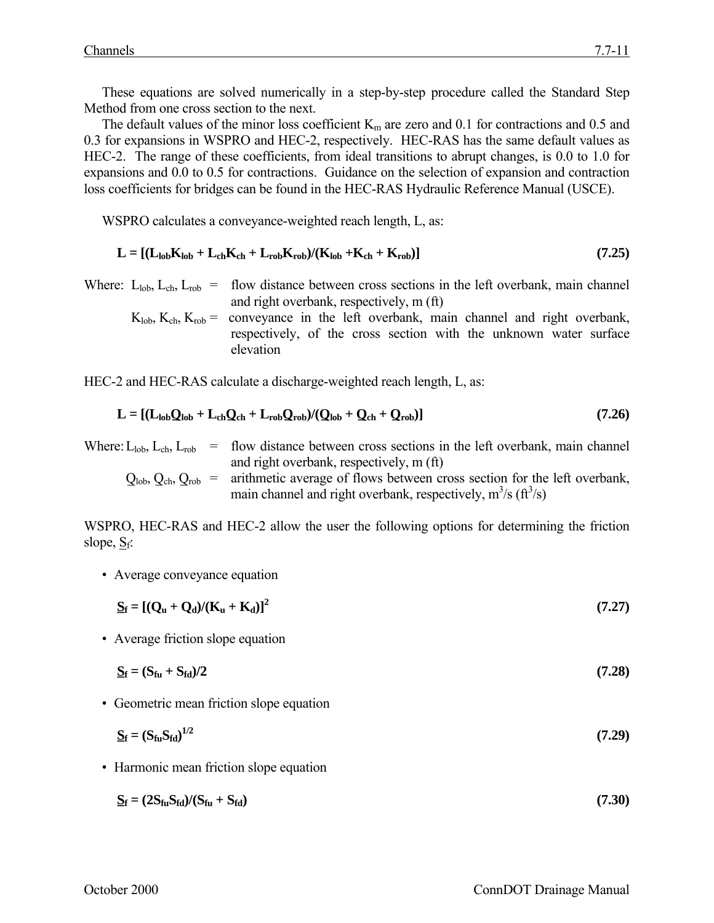These equations are solved numerically in a step-by-step procedure called the Standard Step Method from one cross section to the next.

The default values of the minor loss coefficient  $K_m$  are zero and 0.1 for contractions and 0.5 and 0.3 for expansions in WSPRO and HEC-2, respectively. HEC-RAS has the same default values as HEC-2. The range of these coefficients, from ideal transitions to abrupt changes, is 0.0 to 1.0 for expansions and 0.0 to 0.5 for contractions. Guidance on the selection of expansion and contraction loss coefficients for bridges can be found in the HEC-RAS Hydraulic Reference Manual (USCE).

WSPRO calculates a conveyance-weighted reach length, L, as:

$$
\mathbf{L} = [(\mathbf{L}_{\text{lob}}\mathbf{K}_{\text{lob}} + \mathbf{L}_{\text{ch}}\mathbf{K}_{\text{ch}} + \mathbf{L}_{\text{rob}}\mathbf{K}_{\text{rob}})/(\mathbf{K}_{\text{lob}} + \mathbf{K}_{\text{ch}} + \mathbf{K}_{\text{rob}})]
$$
(7.25)

- Where:  $L_{\text{lob}}$ ,  $L_{\text{ch}}$ ,  $L_{\text{rob}}$  = flow distance between cross sections in the left overbank, main channel and right overbank, respectively, m (ft)
	- $K_{\text{lob}}$ ,  $K_{\text{coh}}$ ,  $K_{\text{rob}}$  = conveyance in the left overbank, main channel and right overbank, respectively, of the cross section with the unknown water surface elevation

HEC-2 and HEC-RAS calculate a discharge-weighted reach length, L, as:

$$
L = \left[ (LlobQlob + LchQch + LrobQrob)/(Qlob + Qch + Qrob) \right]
$$
(7.26)

Where:  $L_{\text{lob}}$ ,  $L_{\text{ch}}$ ,  $L_{\text{rob}}$  = flow distance between cross sections in the left overbank, main channel and right overbank, respectively, m (ft)  $Q_{\text{lob}}$ ,  $Q_{\text{cb}}$  = arithmetic average of flows between cross section for the left overbank, main channel and right overbank, respectively,  $m^3/s$  ( $ft^3/s$ )

WSPRO, HEC-RAS and HEC-2 allow the user the following options for determining the friction slope,  $S_f$ :

• Average conveyance equation

$$
\underline{\mathbf{S}}_{\mathbf{f}} = \left[ (\mathbf{Q}_{\mathbf{u}} + \mathbf{Q}_{\mathbf{d}}) / (\mathbf{K}_{\mathbf{u}} + \mathbf{K}_{\mathbf{d}}) \right]^2 \tag{7.27}
$$

• Average friction slope equation

$$
\underline{\mathbf{S}}_{\mathbf{f}} = (\mathbf{S}_{\mathbf{f}u} + \mathbf{S}_{\mathbf{f}d})/2 \tag{7.28}
$$

• Geometric mean friction slope equation

$$
\underline{\mathbf{S}}_{\mathbf{f}} = \left(\mathbf{S}_{\mathbf{f} \mathbf{u}} \mathbf{S}_{\mathbf{f} \mathbf{d}}\right)^{1/2} \tag{7.29}
$$

• Harmonic mean friction slope equation

$$
\underline{\mathbf{S}}_{\mathbf{f}} = (2\mathbf{S}_{\mathbf{f}u}\mathbf{S}_{\mathbf{f}d})/(\mathbf{S}_{\mathbf{f}u} + \mathbf{S}_{\mathbf{f}d})\tag{7.30}
$$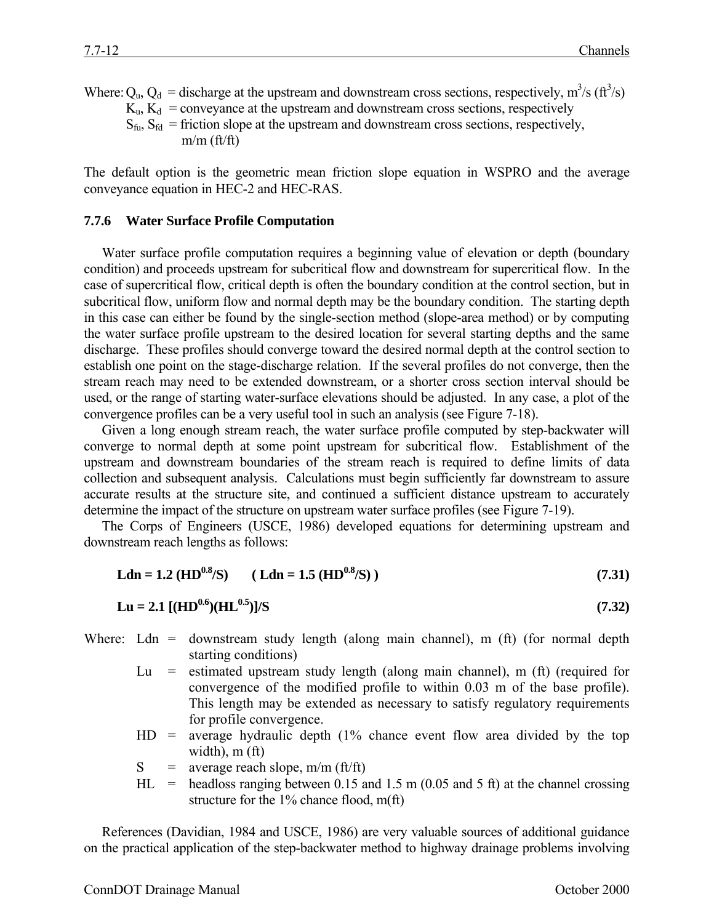- Where: Q<sub>u</sub>, Q<sub>d</sub> = discharge at the upstream and downstream cross sections, respectively, m<sup>3</sup>/s (ft<sup>3</sup>/s)  $K_u$ ,  $K_d$  = conveyance at the upstream and downstream cross sections, respectively
	- $S_{\text{fu}}$ ,  $S_{\text{fd}}$  = friction slope at the upstream and downstream cross sections, respectively,  $m/m$  (ft/ft)

The default option is the geometric mean friction slope equation in WSPRO and the average conveyance equation in HEC-2 and HEC-RAS.

### **7.7.6 Water Surface Profile Computation**

Water surface profile computation requires a beginning value of elevation or depth (boundary condition) and proceeds upstream for subcritical flow and downstream for supercritical flow. In the case of supercritical flow, critical depth is often the boundary condition at the control section, but in subcritical flow, uniform flow and normal depth may be the boundary condition. The starting depth in this case can either be found by the single-section method (slope-area method) or by computing the water surface profile upstream to the desired location for several starting depths and the same discharge. These profiles should converge toward the desired normal depth at the control section to establish one point on the stage-discharge relation. If the several profiles do not converge, then the stream reach may need to be extended downstream, or a shorter cross section interval should be used, or the range of starting water-surface elevations should be adjusted. In any case, a plot of the convergence profiles can be a very useful tool in such an analysis (see Figure 7-18).

Given a long enough stream reach, the water surface profile computed by step-backwater will converge to normal depth at some point upstream for subcritical flow. Establishment of the upstream and downstream boundaries of the stream reach is required to define limits of data collection and subsequent analysis. Calculations must begin sufficiently far downstream to assure accurate results at the structure site, and continued a sufficient distance upstream to accurately determine the impact of the structure on upstream water surface profiles (see Figure 7-19).

The Corps of Engineers (USCE, 1986) developed equations for determining upstream and downstream reach lengths as follows:

$$
Ldn = 1.2 \text{ (HD}^{0.8}/\text{S)} \qquad (\text{Ldn} = 1.5 \text{ (HD}^{0.8}/\text{S)}) \tag{7.31}
$$

$$
Lu = 2.1 [(\text{HD}^{0.6})(\text{HL}^{0.5})]/S \tag{7.32}
$$

Where: Ldn = downstream study length (along main channel), m (ft) (for normal depth starting conditions)

- Lu = estimated upstream study length (along main channel), m (ft) (required for convergence of the modified profile to within 0.03 m of the base profile). This length may be extended as necessary to satisfy regulatory requirements for profile convergence.
- HD = average hydraulic depth (1% chance event flow area divided by the top width), m (ft)
- $S =$  average reach slope, m/m (ft/ft)
- $HL$  = headloss ranging between 0.15 and 1.5 m (0.05 and 5 ft) at the channel crossing structure for the 1% chance flood, m(ft)

References (Davidian, 1984 and USCE, 1986) are very valuable sources of additional guidance on the practical application of the step-backwater method to highway drainage problems involving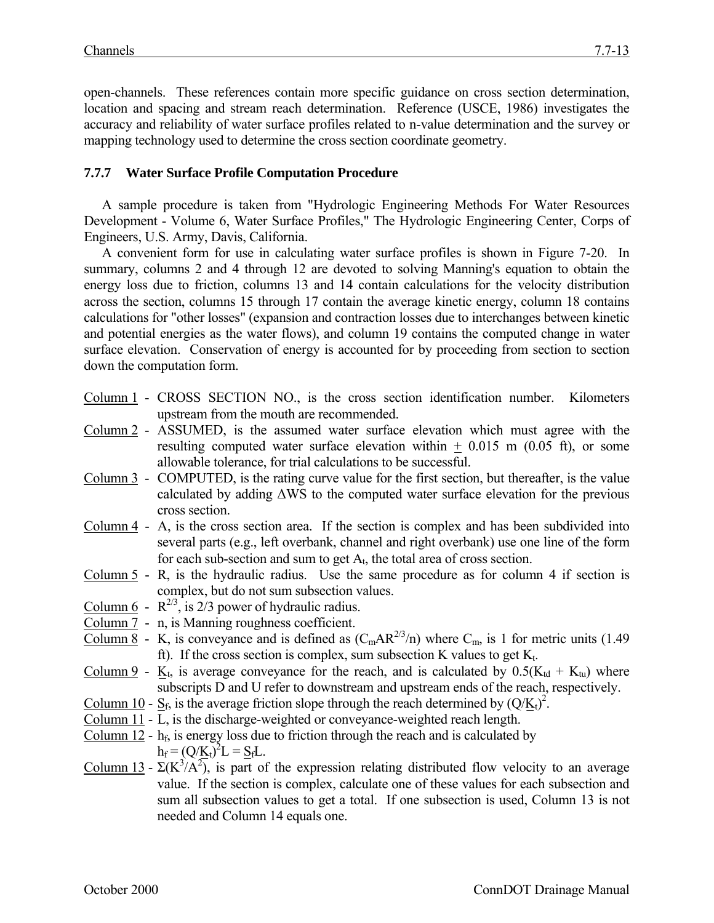open-channels. These references contain more specific guidance on cross section determination, location and spacing and stream reach determination. Reference (USCE, 1986) investigates the accuracy and reliability of water surface profiles related to n-value determination and the survey or mapping technology used to determine the cross section coordinate geometry.

# **7.7.7 Water Surface Profile Computation Procedure**

A sample procedure is taken from "Hydrologic Engineering Methods For Water Resources Development - Volume 6, Water Surface Profiles," The Hydrologic Engineering Center, Corps of Engineers, U.S. Army, Davis, California.

A convenient form for use in calculating water surface profiles is shown in Figure 7-20. In summary, columns 2 and 4 through 12 are devoted to solving Manning's equation to obtain the energy loss due to friction, columns 13 and 14 contain calculations for the velocity distribution across the section, columns 15 through 17 contain the average kinetic energy, column 18 contains calculations for "other losses" (expansion and contraction losses due to interchanges between kinetic and potential energies as the water flows), and column 19 contains the computed change in water surface elevation. Conservation of energy is accounted for by proceeding from section to section down the computation form.

- Column 1 CROSS SECTION NO., is the cross section identification number. Kilometers upstream from the mouth are recommended.
- Column 2 ASSUMED, is the assumed water surface elevation which must agree with the resulting computed water surface elevation within  $+$  0.015 m (0.05 ft), or some allowable tolerance, for trial calculations to be successful.
- Column 3 COMPUTED, is the rating curve value for the first section, but thereafter, is the value calculated by adding ∆WS to the computed water surface elevation for the previous cross section.
- Column 4 A, is the cross section area. If the section is complex and has been subdivided into several parts (e.g., left overbank, channel and right overbank) use one line of the form for each sub-section and sum to get  $A_t$ , the total area of cross section.
- Column 5 R, is the hydraulic radius. Use the same procedure as for column 4 if section is complex, but do not sum subsection values.
- Column 6  $R^{2/3}$ , is 2/3 power of hydraulic radius.
- Column 7 n, is Manning roughness coefficient.
- Column 8 K, is conveyance and is defined as  $(C_mAR^{2/3}/n)$  where  $C_m$ , is 1 for metric units (1.49 ft). If the cross section is complex, sum subsection K values to get  $K_t$ .
- Column 9  $K_t$ , is average conveyance for the reach, and is calculated by  $0.5(K_{td} + K_{tu})$  where subscripts D and U refer to downstream and upstream ends of the reach, respectively.
- Column 10 S<sub>f</sub>, is the average friction slope through the reach determined by  $(Q/K_t)^2$ .
- Column 11 L, is the discharge-weighted or conveyance-weighted reach length.
- Column 12  $h_f$ , is energy loss due to friction through the reach and is calculated by  $h_f = (Q/\underline{K}_t)^2 L = \underline{S}_f L.$
- Column 13  $\Sigma(K^3/A^2)$ , is part of the expression relating distributed flow velocity to an average value. If the section is complex, calculate one of these values for each subsection and sum all subsection values to get a total. If one subsection is used, Column 13 is not needed and Column 14 equals one.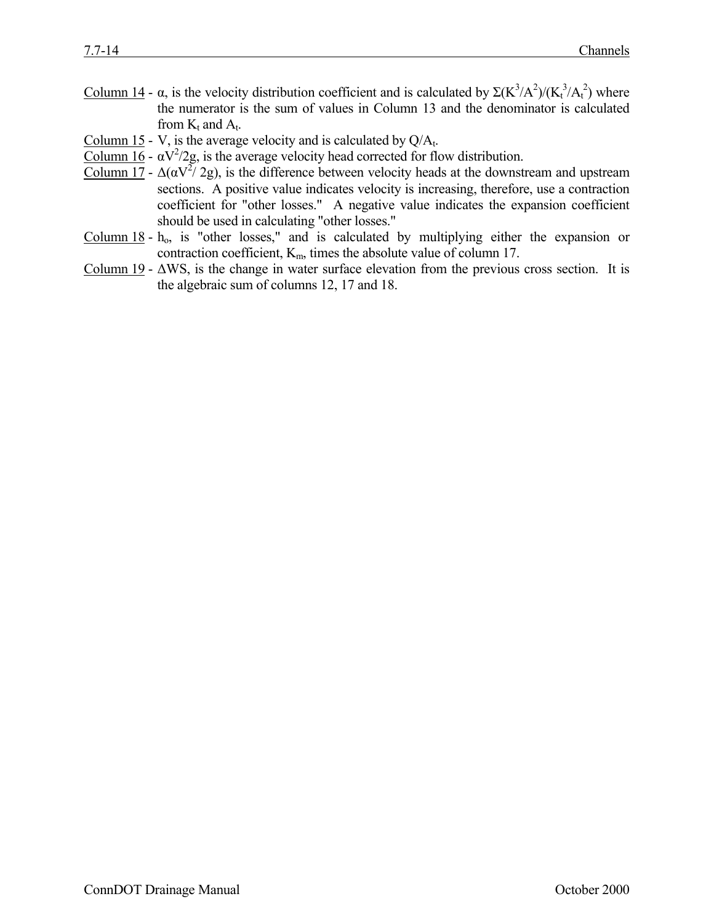- Column 14 α, is the velocity distribution coefficient and is calculated by  $\Sigma(K^3/A^2)/(K_t^3/A_t^2)$  where the numerator is the sum of values in Column 13 and the denominator is calculated from  $K_t$  and  $A_t$ .
- Column 15 V, is the average velocity and is calculated by  $Q/A_t$ .
- Column  $16 \alpha V^2/2g$ , is the average velocity head corrected for flow distribution.
- Column 17  $\Delta(\alpha V^2/2g)$ , is the difference between velocity heads at the downstream and upstream sections. A positive value indicates velocity is increasing, therefore, use a contraction coefficient for "other losses." A negative value indicates the expansion coefficient should be used in calculating "other losses."
- Column 18  $h_0$ , is "other losses," and is calculated by multiplying either the expansion or contraction coefficient,  $K<sub>m</sub>$ , times the absolute value of column 17.
- Column 19 ∆WS, is the change in water surface elevation from the previous cross section. It is the algebraic sum of columns 12, 17 and 18.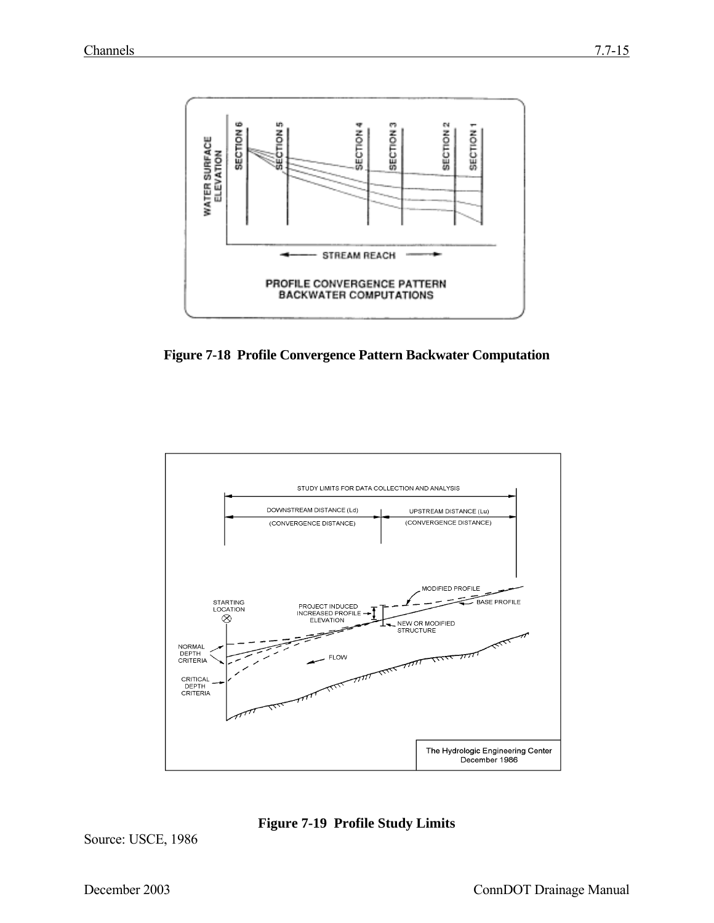

**Figure 7-18 Profile Convergence Pattern Backwater Computation**



**Figure 7-19 Profile Study Limits**

Source: USCE, 1986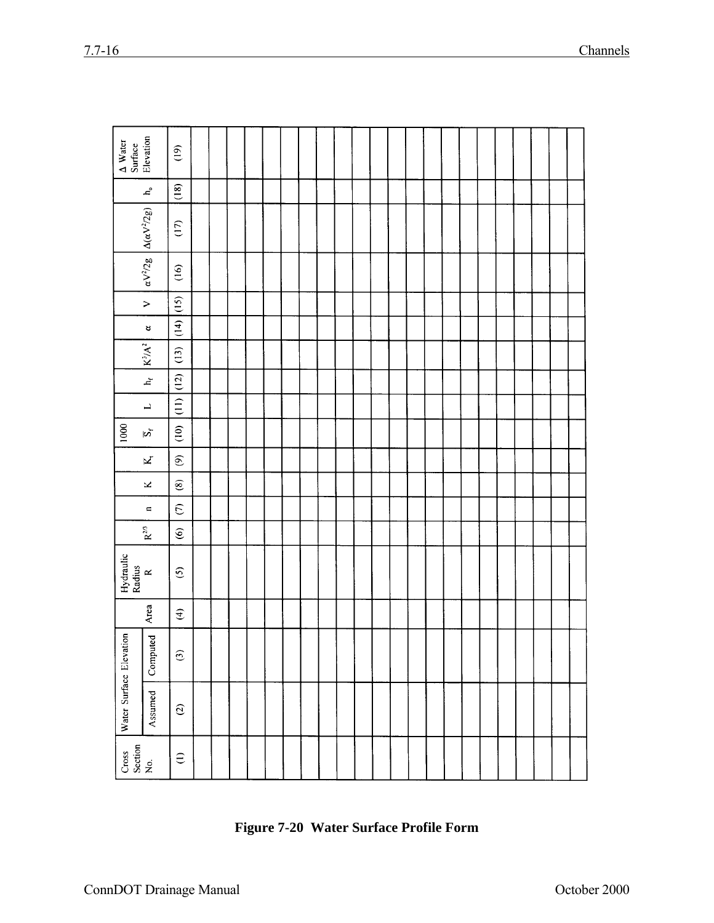| A Water<br>Surface<br>Elevation                                       |                          | (19)                                      |  |  |  |  |  |  |  |  |  |  |  |
|-----------------------------------------------------------------------|--------------------------|-------------------------------------------|--|--|--|--|--|--|--|--|--|--|--|
| $\mathbf{r}_\mathrm{s}$                                               |                          | $\begin{array}{c} (18) \\ {} \end{array}$ |  |  |  |  |  |  |  |  |  |  |  |
| $\alpha V^2/2g \int \Delta(\alpha V^2/2g)$                            |                          | (17)                                      |  |  |  |  |  |  |  |  |  |  |  |
|                                                                       |                          | (16)                                      |  |  |  |  |  |  |  |  |  |  |  |
| $\geq$                                                                |                          | (15)                                      |  |  |  |  |  |  |  |  |  |  |  |
| ð                                                                     |                          | $\frac{1}{2}$                             |  |  |  |  |  |  |  |  |  |  |  |
| $K^3/A^2$                                                             |                          | $\left( \frac{13}{2} \right)$             |  |  |  |  |  |  |  |  |  |  |  |
| $\mathbf{h}$                                                          |                          | (12)                                      |  |  |  |  |  |  |  |  |  |  |  |
|                                                                       | $\overline{\phantom{0}}$ | $\frac{1}{2}$                             |  |  |  |  |  |  |  |  |  |  |  |
| 1000                                                                  | $\mathfrak{b}$           | (10)                                      |  |  |  |  |  |  |  |  |  |  |  |
|                                                                       | $\mathbf{k}$             | $\widehat{\mathfrak{S}}$                  |  |  |  |  |  |  |  |  |  |  |  |
|                                                                       | $\tilde{\mathbf{x}}$     | $\circledast$                             |  |  |  |  |  |  |  |  |  |  |  |
|                                                                       | $\blacksquare$           | $\mathfrak{S}$                            |  |  |  |  |  |  |  |  |  |  |  |
| $\mathbf{R}^{2/3}$                                                    |                          | $\widehat{\mathfrak{S}}$                  |  |  |  |  |  |  |  |  |  |  |  |
| Hydraulic<br>Radius<br>$\approx$                                      |                          | $\odot$                                   |  |  |  |  |  |  |  |  |  |  |  |
| Area                                                                  |                          | $\widehat{\mathfrak{X}}$                  |  |  |  |  |  |  |  |  |  |  |  |
| Water Surface Elevation                                               | Computed                 | $\widehat{\mathbb{C}}$                    |  |  |  |  |  |  |  |  |  |  |  |
|                                                                       | Assumed                  | $\widehat{\mathcal{C}}$                   |  |  |  |  |  |  |  |  |  |  |  |
| $\begin{array}{l} {\rm Cross}\\ {\rm Section}\\ {\rm No} \end{array}$ |                          | $\ominus$                                 |  |  |  |  |  |  |  |  |  |  |  |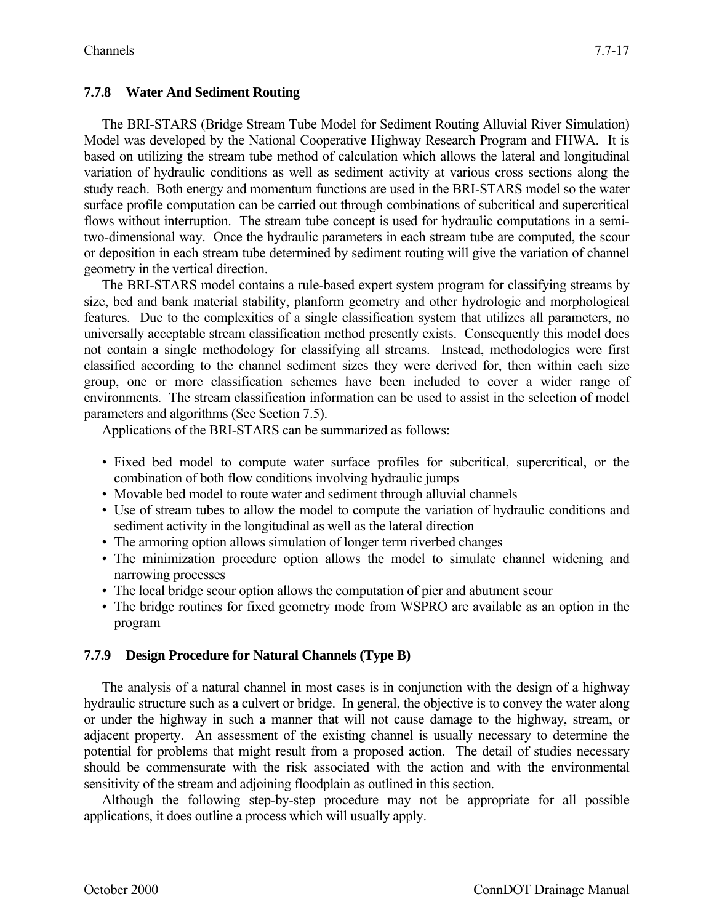# **7.7.8 Water And Sediment Routing**

The BRI-STARS (Bridge Stream Tube Model for Sediment Routing Alluvial River Simulation) Model was developed by the National Cooperative Highway Research Program and FHWA. It is based on utilizing the stream tube method of calculation which allows the lateral and longitudinal variation of hydraulic conditions as well as sediment activity at various cross sections along the study reach. Both energy and momentum functions are used in the BRI-STARS model so the water surface profile computation can be carried out through combinations of subcritical and supercritical flows without interruption. The stream tube concept is used for hydraulic computations in a semitwo-dimensional way. Once the hydraulic parameters in each stream tube are computed, the scour or deposition in each stream tube determined by sediment routing will give the variation of channel geometry in the vertical direction.

The BRI-STARS model contains a rule-based expert system program for classifying streams by size, bed and bank material stability, planform geometry and other hydrologic and morphological features. Due to the complexities of a single classification system that utilizes all parameters, no universally acceptable stream classification method presently exists. Consequently this model does not contain a single methodology for classifying all streams. Instead, methodologies were first classified according to the channel sediment sizes they were derived for, then within each size group, one or more classification schemes have been included to cover a wider range of environments. The stream classification information can be used to assist in the selection of model parameters and algorithms (See Section 7.5).

Applications of the BRI-STARS can be summarized as follows:

- Fixed bed model to compute water surface profiles for subcritical, supercritical, or the combination of both flow conditions involving hydraulic jumps
- Movable bed model to route water and sediment through alluvial channels
- Use of stream tubes to allow the model to compute the variation of hydraulic conditions and sediment activity in the longitudinal as well as the lateral direction
- The armoring option allows simulation of longer term riverbed changes
- The minimization procedure option allows the model to simulate channel widening and narrowing processes
- The local bridge scour option allows the computation of pier and abutment scour
- The bridge routines for fixed geometry mode from WSPRO are available as an option in the program

# **7.7.9 Design Procedure for Natural Channels (Type B)**

The analysis of a natural channel in most cases is in conjunction with the design of a highway hydraulic structure such as a culvert or bridge. In general, the objective is to convey the water along or under the highway in such a manner that will not cause damage to the highway, stream, or adjacent property. An assessment of the existing channel is usually necessary to determine the potential for problems that might result from a proposed action. The detail of studies necessary should be commensurate with the risk associated with the action and with the environmental sensitivity of the stream and adjoining floodplain as outlined in this section.

Although the following step-by-step procedure may not be appropriate for all possible applications, it does outline a process which will usually apply.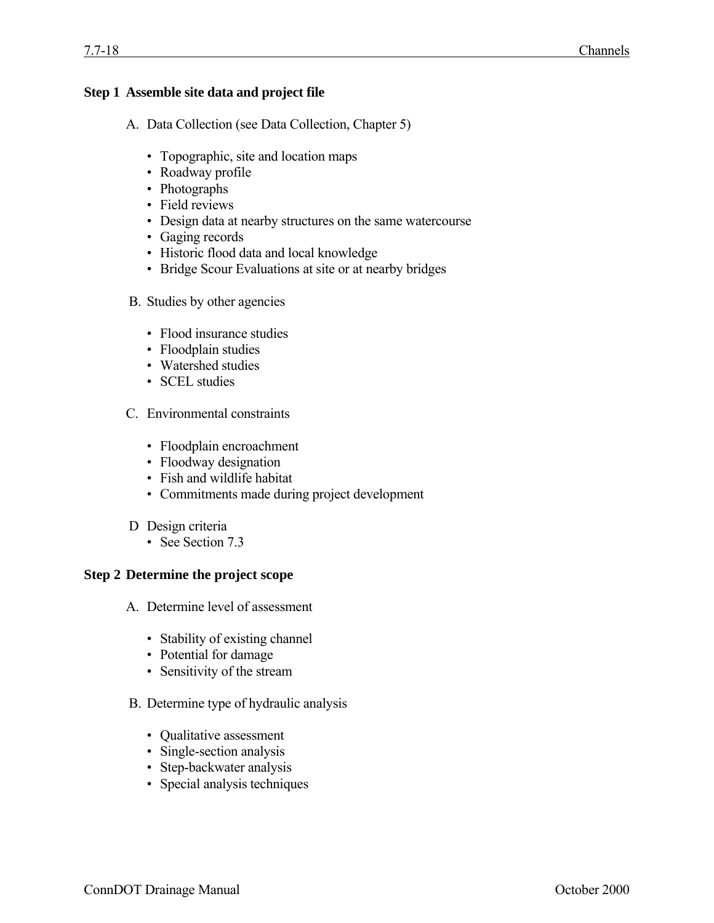# **Step 1 Assemble site data and project file**

- A. Data Collection (see Data Collection, Chapter 5)
	- Topographic, site and location maps
	- Roadway profile
	- Photographs
	- Field reviews
	- Design data at nearby structures on the same watercourse
	- Gaging records
	- Historic flood data and local knowledge
	- Bridge Scour Evaluations at site or at nearby bridges
- B. Studies by other agencies
	- Flood insurance studies
	- Floodplain studies
	- Watershed studies
	- SCEL studies
- C. Environmental constraints
	- Floodplain encroachment
	- Floodway designation
	- Fish and wildlife habitat
	- Commitments made during project development
- D Design criteria
	- See Section 7.3

# **Step 2 Determine the project scope**

- A. Determine level of assessment
	- Stability of existing channel
	- Potential for damage
	- Sensitivity of the stream
- B. Determine type of hydraulic analysis
	- Qualitative assessment
	- Single-section analysis
	- Step-backwater analysis
	- Special analysis techniques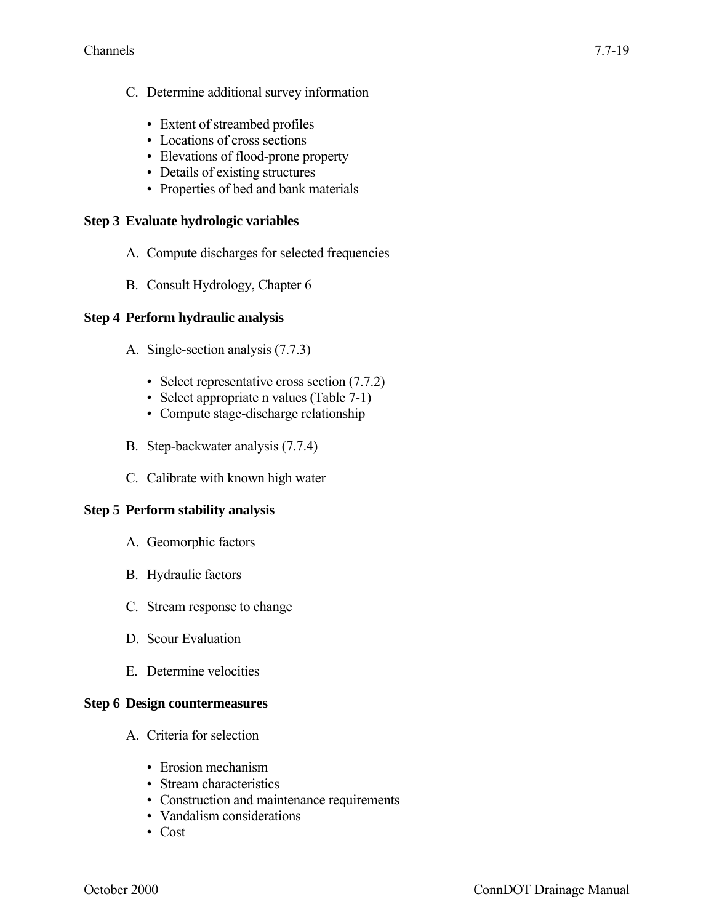- C. Determine additional survey information
	- Extent of streambed profiles
	- Locations of cross sections
	- Elevations of flood-prone property
	- Details of existing structures
	- Properties of bed and bank materials

### **Step 3 Evaluate hydrologic variables**

- A. Compute discharges for selected frequencies
- B. Consult Hydrology, Chapter 6

### **Step 4 Perform hydraulic analysis**

- A. Single-section analysis (7.7.3)
	- Select representative cross section (7.7.2)
	- Select appropriate n values (Table 7-1)
	- Compute stage-discharge relationship
- B. Step-backwater analysis (7.7.4)
- C. Calibrate with known high water

### **Step 5 Perform stability analysis**

- A. Geomorphic factors
- B. Hydraulic factors
- C. Stream response to change
- D. Scour Evaluation
- E. Determine velocities

### **Step 6 Design countermeasures**

- A. Criteria for selection
	- Erosion mechanism
	- Stream characteristics
	- Construction and maintenance requirements
	- Vandalism considerations
	- Cost